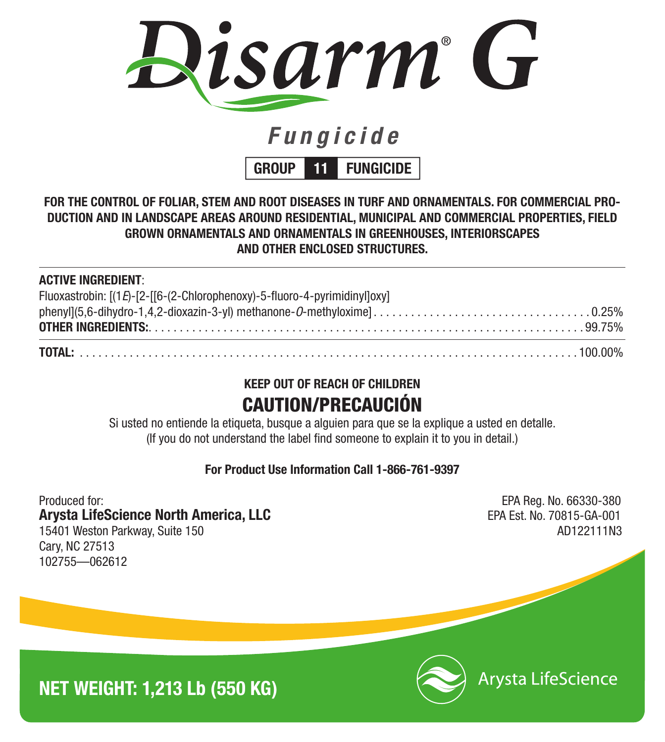

# *Fungicide*

**GROUP 11 FUNGICIDE**

## **FOR THE CONTROL OF FOLIAR, STEM AND ROOT DISEASES IN TURF AND ORNAMENTALS. FOR COMMERCIAL PRO-DUCTION AND IN LANDSCAPE AREAS AROUND RESIDENTIAL, MUNICIPAL AND COMMERCIAL PROPERTIES, FIELD GROWN ORNAMENTALS AND ORNAMENTALS IN GREENHOUSES, INTERIORSCAPES AND OTHER ENCLOSED STRUCTURES.**

## **ACTIVE INGREDIENT**:

| Fluoxastrobin: [(1E)-[2-[[6-(2-Chlorophenoxy)-5-fluoro-4-pyrimidinyl]oxy] |  |
|---------------------------------------------------------------------------|--|

## **KEEP OUT OF REACH OF CHILDREN** CAUTION/PRECAUCIÓN

Si usted no entiende la etiqueta, busque a alguien para que se la explique a usted en detalle. (If you do not understand the label find someone to explain it to you in detail.)

**For Product Use Information Call 1-866-761-9397**

Produced for: EPA Reg. No. 66330-380 **Arysta LifeScience North America, LLC** EPA Est. No. 70815-GA-001 15401 Weston Parkway, Suite 150 AD122111N3 Cary, NC 27513 102755—062612





**Arysta LifeScience**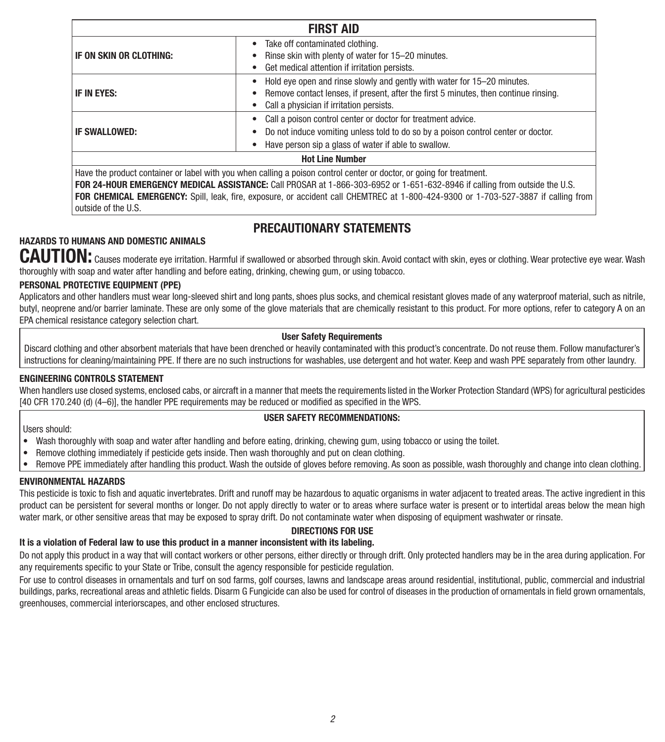| <b>FIRST AID</b>        |                                                                                                                                                                                                                                                    |  |
|-------------------------|----------------------------------------------------------------------------------------------------------------------------------------------------------------------------------------------------------------------------------------------------|--|
| IF ON SKIN OR CLOTHING: | Take off contaminated clothing.<br>Rinse skin with plenty of water for 15–20 minutes.<br>Get medical attention if irritation persists.                                                                                                             |  |
| IF IN EYES:             | Hold eye open and rinse slowly and gently with water for 15–20 minutes.<br>Remove contact lenses, if present, after the first 5 minutes, then continue rinsing.<br>Call a physician if irritation persists.                                        |  |
| <b>IF SWALLOWED:</b>    | Call a poison control center or doctor for treatment advice.<br>Do not induce vomiting unless told to do so by a poison control center or doctor.<br>Have person sip a glass of water if able to swallow.                                          |  |
| <b>Hot Line Number</b>  |                                                                                                                                                                                                                                                    |  |
|                         | Have the product container or label with you when calling a poison control center or doctor, or going for treatment.<br>FOR 24-HOUR EMERGENCY MEDICAL ASSISTANCE: Call PROSAR at 1-866-303-6952 or 1-651-632-8946 if calling from outside the U.S. |  |

**FOR CHEMICAL EMERGENCY:** Spill, leak, fire, exposure, or accident call CHEMTREC at 1-800-424-9300 or 1-703-527-3887 if calling from outside of the U.S.

## **PRECAUTIONARY STATEMENTS**

## **HAZARDS TO HUMANS AND DOMESTIC ANIMALS**

**CAUTION:** Causes moderate eye irritation. Harmful if swallowed or absorbed through skin. Avoid contact with skin, eyes or clothing. Wear protective eye wear. Wash thoroughly with soap and water after handling and before eating, drinking, chewing gum, or using tobacco.

## **PERSONAL PROTECTIVE EQUIPMENT (PPE)**

Applicators and other handlers must wear long-sleeved shirt and long pants, shoes plus socks, and chemical resistant gloves made of any waterproof material, such as nitrile, butyl, neoprene and/or barrier laminate. These are only some of the glove materials that are chemically resistant to this product. For more options, refer to category A on an EPA chemical resistance category selection chart.

#### **User Safety Requirements**

Discard clothing and other absorbent materials that have been drenched or heavily contaminated with this product's concentrate. Do not reuse them. Follow manufacturer's instructions for cleaning/maintaining PPE. If there are no such instructions for washables, use detergent and hot water. Keep and wash PPE separately from other laundry.

## **ENGINEERING CONTROLS STATEMENT**

When handlers use closed systems, enclosed cabs, or aircraft in a manner that meets the requirements listed in the Worker Protection Standard (WPS) for agricultural pesticides [40 CFR 170.240 (d) (4–6)], the handler PPE requirements may be reduced or modified as specified in the WPS.

## **USER SAFETY RECOMMENDATIONS:**

Users should:

- Wash thoroughly with soap and water after handling and before eating, drinking, chewing gum, using tobacco or using the toilet.
- Remove clothing immediately if pesticide gets inside. Then wash thoroughly and put on clean clothing.
- • Remove PPE immediately after handling this product. Wash the outside of gloves before removing. As soon as possible, wash thoroughly and change into clean clothing.

## **ENVIRONMENTAL HAZARDS**

This pesticide is toxic to fish and aquatic invertebrates. Drift and runoff may be hazardous to aquatic organisms in water adjacent to treated areas. The active ingredient in this product can be persistent for several months or longer. Do not apply directly to water or to areas where surface water is present or to intertidal areas below the mean high water mark, or other sensitive areas that may be exposed to spray drift. Do not contaminate water when disposing of equipment washwater or rinsate.

## **DIRECTIONS FOR USE**

#### **It is a violation of Federal law to use this product in a manner inconsistent with its labeling.**

Do not apply this product in a way that will contact workers or other persons, either directly or through drift. Only protected handlers may be in the area during application. For any requirements specific to your State or Tribe, consult the agency responsible for pesticide regulation.

For use to control diseases in ornamentals and turf on sod farms, golf courses, lawns and landscape areas around residential, institutional, public, commercial and industrial buildings, parks, recreational areas and athletic fields. Disarm G Fungicide can also be used for control of diseases in the production of ornamentals in field grown ornamentals. greenhouses, commercial interiorscapes, and other enclosed structures.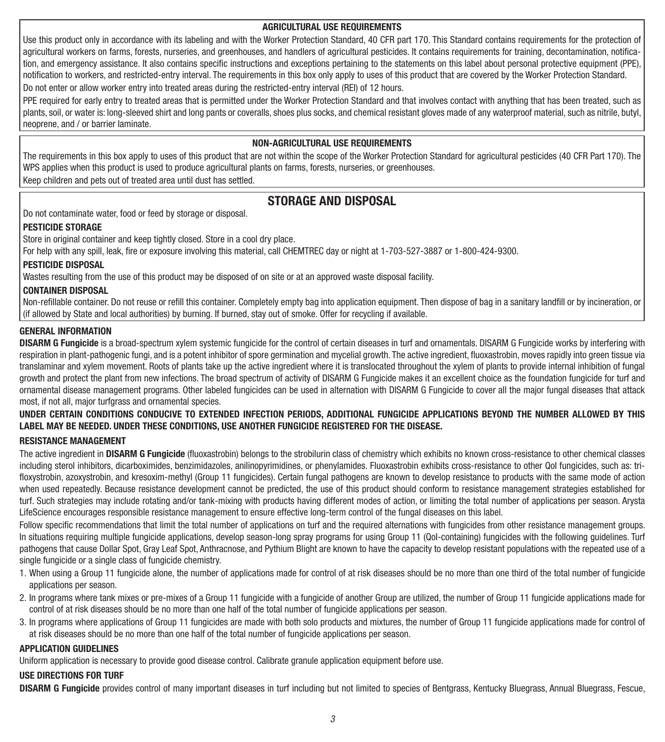#### **AGRICULTURAL USE REQUIREMENTS**

Use this product only in accordance with its labeling and with the Worker Protection Standard, 40 CFR part 170. This Standard contains requirements for the protection of agricultural workers on farms, forests, nurseries, and greenhouses, and handlers of agricultural pesticides. It contains requirements for training, decontamination, notification, and emergency assistance. It also contains specific instructions and exceptions pertaining to the statements on this label about personal protective equipment (PPE), notification to workers, and restricted-entry interval. The requirements in this box only apply to uses of this product that are covered by the Worker Protection Standard. Do not enter or allow worker entry into treated areas during the restricted-entry interval (REI) of 12 hours.

PPE required for early entry to treated areas that is permitted under the Worker Protection Standard and that involves contact with anything that has been treated, such as plants, soil, or water is: long-sleeved shirt and long pants or coveralls, shoes plus socks, and chemical resistant gloves made of any waterproof material, such as nitrile, butyl, neoprene, and / or barrier laminate.

#### **NON-AGRICULTURAL USE REQUIREMENTS**

The requirements in this box apply to uses of this product that are not within the scope of the Worker Protection Standard for agricultural pesticides (40 CFR Part 170). The WPS applies when this product is used to produce agricultural plants on farms, forests, nurseries, or greenhouses.

Keep children and pets out of treated area until dust has settled.

## **STORAGE AND DISPOSAL**

Do not contaminate water, food or feed by storage or disposal.

## **PESTICIDE STORAGE**

Store in original container and keep tightly closed. Store in a cool dry place.

For help with any spill, leak, fire or exposure involving this material, call CHEMTREC day or night at 1-703-527-3887 or 1-800-424-9300.

## **PESTICIDE DISPOSAL**

Wastes resulting from the use of this product may be disposed of on site or at an approved waste disposal facility.

#### **CONTAINER DISPOSAL**

Non-refillable container. Do not reuse or refill this container. Completely empty bag into application equipment. Then dispose of bag in a sanitary landfill or by incineration, or (if allowed by State and local authorities) by burning. If burned, stay out of smoke. Offer for recycling if available.

#### **GENERAL INFORMATION**

**DISARM G Fungicide** is a broad-spectrum xylem systemic fungicide for the control of certain diseases in turf and ornamentals. DISARM G Fungicide works by interfering with respiration in plant-pathogenic fungi, and is a potent inhibitor of spore germination and mycelial growth. The active ingredient, fluoxastrobin, moves rapidly into green tissue via translaminar and xylem movement. Roots of plants take up the active ingredient where it is translocated throughout the xylem of plants to provide internal inhibition of fungal growth and protect the plant from new infections. The broad spectrum of activity of DISARM G Fungicide makes it an excellent choice as the foundation fungicide for turf and ornamental disease management programs. Other labeled fungicides can be used in alternation with DISARM G Fungicide to cover all the major fungal diseases that attack most, if not all, major turfgrass and ornamental species.

## **UNDER CERTAIN CONDITIONS CONDUCIVE TO EXTENDED INFECTION PERIODS, ADDITIONAL FUNGICIDE APPLICATIONS BEYOND THE NUMBER ALLOWED BY THIS LABEL MAY BE NEEDED. UNDER THESE CONDITIONS, USE ANOTHER FUNGICIDE REGISTERED FOR THE DISEASE.**

## **RESISTANCE MANAGEMENT**

The active ingredient in **DISARM G Fungicide** (fluoxastrobin) belongs to the strobilurin class of chemistry which exhibits no known cross-resistance to other chemical classes including sterol inhibitors, dicarboximides, benzimidazoles, anilinopyrimidines, or phenylamides. Fluoxastrobin exhibits cross-resistance to other QoI fungicides, such as: trifloxystrobin, azoxystrobin, and kresoxim-methyl (Group 11 fungicides). Certain fungal pathogens are known to develop resistance to products with the same mode of action when used repeatedly. Because resistance development cannot be predicted, the use of this product should conform to resistance management strategies established for turf. Such strategies may include rotating and/or tank-mixing with products having different modes of action, or limiting the total number of applications per season. Arysta LifeScience encourages responsible resistance management to ensure effective long-term control of the fungal diseases on this label.

Follow specific recommendations that limit the total number of applications on turf and the required alternations with fungicides from other resistance management groups. In situations requiring multiple fungicide applications, develop season-long spray programs for using Group 11 (QoI-containing) fungicides with the following guidelines. Turf pathogens that cause Dollar Spot, Gray Leaf Spot, Anthracnose, and Pythium Blight are known to have the capacity to develop resistant populations with the repeated use of a single fungicide or a single class of fungicide chemistry.

- 1. When using a Group 11 fungicide alone, the number of applications made for control of at risk diseases should be no more than one third of the total number of fungicide applications per season.
- 2. In programs where tank mixes or pre-mixes of a Group 11 fungicide with a fungicide of another Group are utilized, the number of Group 11 fungicide applications made for control of at risk diseases should be no more than one half of the total number of fungicide applications per season.
- 3. In programs where applications of Group 11 fungicides are made with both solo products and mixtures, the number of Group 11 fungicide applications made for control of at risk diseases should be no more than one half of the total number of fungicide applications per season.

#### **APPLICATION GUIDELINES**

Uniform application is necessary to provide good disease control. Calibrate granule application equipment before use.

## **USE DIRECTIONS FOR TURF**

**DISARM G Fungicide** provides control of many important diseases in turf including but not limited to species of Bentgrass, Kentucky Bluegrass, Annual Bluegrass, Fescue,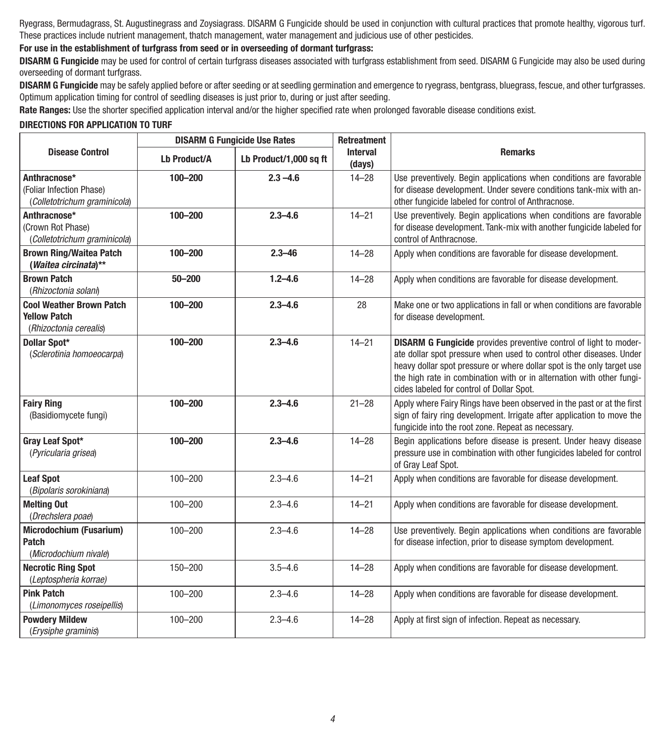Ryegrass, Bermudagrass, St. Augustinegrass and Zoysiagrass. DISARM G Fungicide should be used in conjunction with cultural practices that promote healthy, vigorous turf. These practices include nutrient management, thatch management, water management and judicious use of other pesticides.

## **For use in the establishment of turfgrass from seed or in overseeding of dormant turfgrass:**

**DISARM G Fungicide** may be used for control of certain turfgrass diseases associated with turfgrass establishment from seed. DISARM G Fungicide may also be used during overseeding of dormant turfgrass.

**DISARM G Fungicide** may be safely applied before or after seeding or at seedling germination and emergence to ryegrass, bentgrass, bluegrass, fescue, and other turfgrasses. Optimum application timing for control of seedling diseases is just prior to, during or just after seeding.

**Rate Ranges:** Use the shorter specified application interval and/or the higher specified rate when prolonged favorable disease conditions exist.

#### **DIRECTIONS FOR APPLICATION TO TURF**

| <b>DISARM G Fungicide Use Rates</b>                                              |                     | <b>Retreatment</b>     |                           |                                                                                                                                                                                                                                                                                                                                                 |
|----------------------------------------------------------------------------------|---------------------|------------------------|---------------------------|-------------------------------------------------------------------------------------------------------------------------------------------------------------------------------------------------------------------------------------------------------------------------------------------------------------------------------------------------|
| <b>Disease Control</b>                                                           | <b>Lb Product/A</b> | Lb Product/1,000 sq ft | <b>Interval</b><br>(days) | <b>Remarks</b>                                                                                                                                                                                                                                                                                                                                  |
| Anthracnose*<br>(Foliar Infection Phase)<br>(Colletotrichum graminicola)         | $100 - 200$         | $2.3 - 4.6$            | $14 - 28$                 | Use preventively. Begin applications when conditions are favorable<br>for disease development. Under severe conditions tank-mix with an-<br>other fungicide labeled for control of Anthracnose.                                                                                                                                                 |
| Anthracnose*<br>(Crown Rot Phase)<br>(Colletotrichum graminicola)                | 100-200             | $2.3 - 4.6$            | $14 - 21$                 | Use preventively. Begin applications when conditions are favorable<br>for disease development. Tank-mix with another fungicide labeled for<br>control of Anthracnose.                                                                                                                                                                           |
| <b>Brown Ring/Waitea Patch</b><br>(Waitea circinata)**                           | 100-200             | $2.3 - 46$             | $14 - 28$                 | Apply when conditions are favorable for disease development.                                                                                                                                                                                                                                                                                    |
| <b>Brown Patch</b><br>(Rhizoctonia solani)                                       | $50 - 200$          | $1.2 - 4.6$            | $14 - 28$                 | Apply when conditions are favorable for disease development.                                                                                                                                                                                                                                                                                    |
| <b>Cool Weather Brown Patch</b><br><b>Yellow Patch</b><br>(Rhizoctonia cerealis) | 100-200             | $2.3 - 4.6$            | 28                        | Make one or two applications in fall or when conditions are favorable<br>for disease development.                                                                                                                                                                                                                                               |
| Dollar Spot*<br>(Sclerotinia homoeocarpa)                                        | 100-200             | $2.3 - 4.6$            | $14 - 21$                 | <b>DISARM G Fungicide</b> provides preventive control of light to moder-<br>ate dollar spot pressure when used to control other diseases. Under<br>heavy dollar spot pressure or where dollar spot is the only target use<br>the high rate in combination with or in alternation with other fungi-<br>cides labeled for control of Dollar Spot. |
| <b>Fairy Ring</b><br>(Basidiomycete fungi)                                       | 100-200             | $2.3 - 4.6$            | $21 - 28$                 | Apply where Fairy Rings have been observed in the past or at the first<br>sign of fairy ring development. Irrigate after application to move the<br>fungicide into the root zone. Repeat as necessary.                                                                                                                                          |
| Gray Leaf Spot*<br>(Pyricularia grisea)                                          | 100-200             | $2.3 - 4.6$            | $14 - 28$                 | Begin applications before disease is present. Under heavy disease<br>pressure use in combination with other fungicides labeled for control<br>of Gray Leaf Spot.                                                                                                                                                                                |
| <b>Leaf Spot</b><br>(Bipolaris sorokiniana)                                      | $100 - 200$         | $2.3 - 4.6$            | $14 - 21$                 | Apply when conditions are favorable for disease development.                                                                                                                                                                                                                                                                                    |
| <b>Melting Out</b><br>(Drechslera poae)                                          | $100 - 200$         | $2.3 - 4.6$            | $14 - 21$                 | Apply when conditions are favorable for disease development.                                                                                                                                                                                                                                                                                    |
| <b>Microdochium (Fusarium)</b><br><b>Patch</b><br>(Microdochium nivale)          | $100 - 200$         | $2.3 - 4.6$            | $14 - 28$                 | Use preventively. Begin applications when conditions are favorable<br>for disease infection, prior to disease symptom development.                                                                                                                                                                                                              |
| <b>Necrotic Ring Spot</b><br>(Leptospheria korrae)                               | 150-200             | $3.5 - 4.6$            | $14 - 28$                 | Apply when conditions are favorable for disease development.                                                                                                                                                                                                                                                                                    |
| <b>Pink Patch</b><br>(Limonomyces roseipellis)                                   | $100 - 200$         | $2.3 - 4.6$            | $14 - 28$                 | Apply when conditions are favorable for disease development.                                                                                                                                                                                                                                                                                    |
| <b>Powdery Mildew</b><br>(Erysiphe graminis)                                     | $100 - 200$         | $2.3 - 4.6$            | $14 - 28$                 | Apply at first sign of infection. Repeat as necessary.                                                                                                                                                                                                                                                                                          |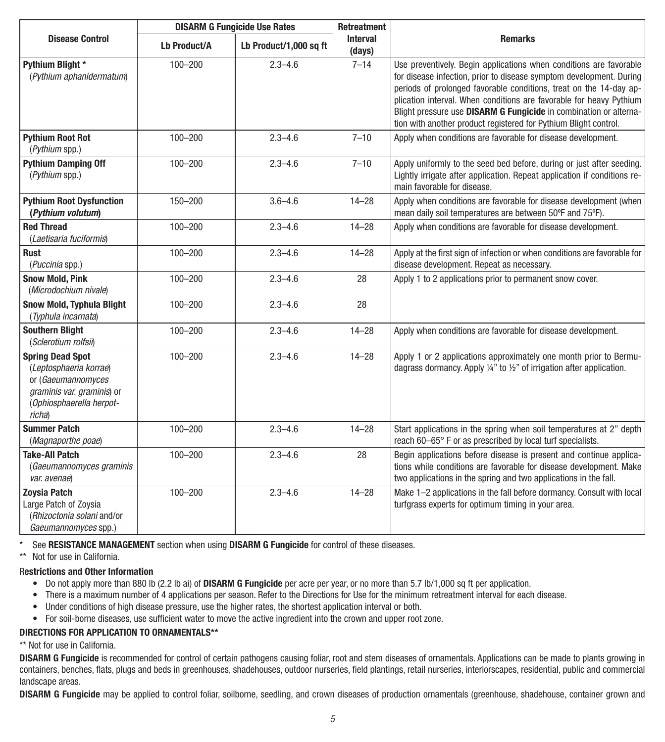|                                                                                                                                             |              | <b>DISARM G Fungicide Use Rates</b> |                           | Retreatment                                                                                                                                                                                                                                                                                                                                                                                                                     |
|---------------------------------------------------------------------------------------------------------------------------------------------|--------------|-------------------------------------|---------------------------|---------------------------------------------------------------------------------------------------------------------------------------------------------------------------------------------------------------------------------------------------------------------------------------------------------------------------------------------------------------------------------------------------------------------------------|
| <b>Disease Control</b>                                                                                                                      | Lb Product/A | Lb Product/1,000 sq ft              | <b>Interval</b><br>(days) | <b>Remarks</b>                                                                                                                                                                                                                                                                                                                                                                                                                  |
| Pythium Blight *<br>(Pythium aphanidermatum)                                                                                                | $100 - 200$  | $2.3 - 4.6$                         | $7 - 14$                  | Use preventively. Begin applications when conditions are favorable<br>for disease infection, prior to disease symptom development. During<br>periods of prolonged favorable conditions, treat on the 14-day ap-<br>plication interval. When conditions are favorable for heavy Pythium<br>Blight pressure use DISARM G Fungicide in combination or alterna-<br>tion with another product registered for Pythium Blight control. |
| <b>Pythium Root Rot</b><br>(Pythium spp.)                                                                                                   | $100 - 200$  | $2.3 - 4.6$                         | $7 - 10$                  | Apply when conditions are favorable for disease development.                                                                                                                                                                                                                                                                                                                                                                    |
| <b>Pythium Damping Off</b><br>(Pythium spp.)                                                                                                | $100 - 200$  | $2.3 - 4.6$                         | $7 - 10$                  | Apply uniformly to the seed bed before, during or just after seeding.<br>Lightly irrigate after application. Repeat application if conditions re-<br>main favorable for disease.                                                                                                                                                                                                                                                |
| <b>Pythium Root Dysfunction</b><br>(Pythium volutum)                                                                                        | 150-200      | $3.6 - 4.6$                         | $14 - 28$                 | Apply when conditions are favorable for disease development (when<br>mean daily soil temperatures are between 50°F and 75°F).                                                                                                                                                                                                                                                                                                   |
| <b>Red Thread</b><br>(Laetisaria fuciformis)                                                                                                | $100 - 200$  | $2.3 - 4.6$                         | $14 - 28$                 | Apply when conditions are favorable for disease development.                                                                                                                                                                                                                                                                                                                                                                    |
| <b>Rust</b><br>(Puccinia spp.)                                                                                                              | $100 - 200$  | $2.3 - 4.6$                         | $14 - 28$                 | Apply at the first sign of infection or when conditions are favorable for<br>disease development. Repeat as necessary.                                                                                                                                                                                                                                                                                                          |
| <b>Snow Mold, Pink</b><br>(Microdochium nivale)                                                                                             | $100 - 200$  | $2.3 - 4.6$                         | 28                        | Apply 1 to 2 applications prior to permanent snow cover.                                                                                                                                                                                                                                                                                                                                                                        |
| <b>Snow Mold, Typhula Blight</b><br>(Typhula incarnata)                                                                                     | 100-200      | $2.3 - 4.6$                         | 28                        |                                                                                                                                                                                                                                                                                                                                                                                                                                 |
| <b>Southern Blight</b><br>(Sclerotium rolfsii)                                                                                              | $100 - 200$  | $2.3 - 4.6$                         | $14 - 28$                 | Apply when conditions are favorable for disease development.                                                                                                                                                                                                                                                                                                                                                                    |
| <b>Spring Dead Spot</b><br>(Leptosphaeria korrae)<br>or (Gaeumannomyces<br>graminis var. graminis) or<br>(Ophiosphaerella herpot-<br>richa) | $100 - 200$  | $2.3 - 4.6$                         | $14 - 28$                 | Apply 1 or 2 applications approximately one month prior to Bermu-<br>dagrass dormancy. Apply $\frac{1}{4}$ " to $\frac{1}{2}$ " of irrigation after application.                                                                                                                                                                                                                                                                |
| <b>Summer Patch</b><br>(Magnaporthe poae)                                                                                                   | $100 - 200$  | $2.3 - 4.6$                         | $14 - 28$                 | Start applications in the spring when soil temperatures at 2" depth<br>reach 60-65° F or as prescribed by local turf specialists.                                                                                                                                                                                                                                                                                               |
| <b>Take-All Patch</b><br>(Gaeumannomyces graminis<br>var. avenae)                                                                           | $100 - 200$  | $2.3 - 4.6$                         | 28                        | Begin applications before disease is present and continue applica-<br>tions while conditions are favorable for disease development. Make<br>two applications in the spring and two applications in the fall.                                                                                                                                                                                                                    |
| <b>Zoysia Patch</b><br>Large Patch of Zoysia<br>(Rhizoctonia solani and/or<br>Gaeumannomyces spp.)                                          | $100 - 200$  | $2.3 - 4.6$                         | $14 - 28$                 | Make 1-2 applications in the fall before dormancy. Consult with local<br>turfgrass experts for optimum timing in your area.                                                                                                                                                                                                                                                                                                     |

\* See **RESISTANCE MANAGEMENT** section when using **DISARM G Fungicide** for control of these diseases.

\*\* Not for use in California.

#### R**estrictions and Other Information**

- • Do not apply more than 880 lb (2.2 lb ai) of **DISARM G Fungicide** per acre per year, or no more than 5.7 lb/1,000 sq ft per application.
- • There is a maximum number of 4 applications per season. Refer to the Directions for Use for the minimum retreatment interval for each disease.
- • Under conditions of high disease pressure, use the higher rates, the shortest application interval or both.
- • For soil-borne diseases, use sufficient water to move the active ingredient into the crown and upper root zone.

#### **DIRECTIONS FOR APPLICATION TO ORNAMENTALS\*\***

\*\* Not for use in California.

**DISARM G Fungicide** is recommended for control of certain pathogens causing foliar, root and stem diseases of ornamentals. Applications can be made to plants growing in containers, benches, flats, plugs and beds in greenhouses, shadehouses, outdoor nurseries, field plantings, retail nurseries, interiorscapes, residential, public and commercial landscape areas.

**DISARM G Fungicide** may be applied to control foliar, soilborne, seedling, and crown diseases of production ornamentals (greenhouse, shadehouse, container grown and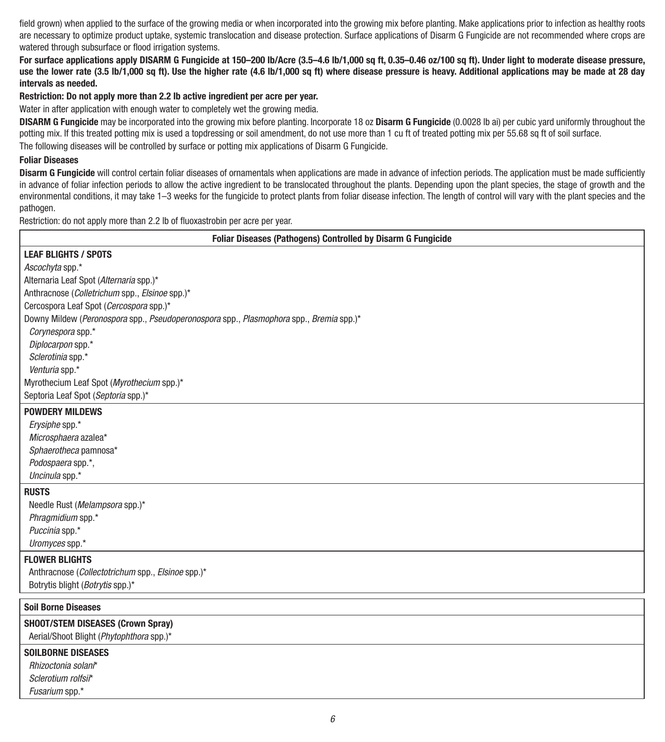field grown) when applied to the surface of the growing media or when incorporated into the growing mix before planting. Make applications prior to infection as healthy roots are necessary to optimize product uptake, systemic translocation and disease protection. Surface applications of Disarm G Fungicide are not recommended where crops are watered through subsurface or flood irrigation systems.

**For surface applications apply DISARM G Fungicide at 150–200 lb/Acre (3.5–4.6 lb/1,000 sq ft, 0.35–0.46 oz/100 sq ft). Under light to moderate disease pressure, use the lower rate (3.5 lb/1,000 sq ft). Use the higher rate (4.6 lb/1,000 sq ft) where disease pressure is heavy. Additional applications may be made at 28 day intervals as needed.** 

#### **Restriction: Do not apply more than 2.2 lb active ingredient per acre per year.**

Water in after application with enough water to completely wet the growing media.

**DISARM G Fungicide** may be incorporated into the growing mix before planting. Incorporate 18 oz **Disarm G Fungicide** (0.0028 lb ai) per cubic yard uniformly throughout the potting mix. If this treated potting mix is used a topdressing or soil amendment, do not use more than 1 cu ft of treated potting mix per 55.68 sq ft of soil surface. The following diseases will be controlled by surface or potting mix applications of Disarm G Fungicide.

#### **Foliar Diseases**

**Disarm G Fungicide** will control certain foliar diseases of ornamentals when applications are made in advance of infection periods. The application must be made sufficiently in advance of foliar infection periods to allow the active ingredient to be translocated throughout the plants. Depending upon the plant species, the stage of growth and the environmental conditions, it may take 1–3 weeks for the fungicide to protect plants from foliar disease infection. The length of control will vary with the plant species and the pathogen.

Restriction: do not apply more than 2.2 lb of fluoxastrobin per acre per year.

| Foliar Diseases (Pathogens) Controlled by Disarm G Fungicide                            |
|-----------------------------------------------------------------------------------------|
| <b>LEAF BLIGHTS / SPOTS</b>                                                             |
| Ascochyta spp.*                                                                         |
| Alternaria Leaf Spot (Alternaria spp.)*                                                 |
| Anthracnose (Colletrichum spp., Elsinoe spp.)*                                          |
| Cercospora Leaf Spot (Cercospora spp.)*                                                 |
| Downy Mildew (Peronospora spp., Pseudoperonospora spp., Plasmophora spp., Bremia spp.)* |
| Corynespora spp.*                                                                       |
| Diplocarpon spp.*                                                                       |
| Sclerotinia spp.*                                                                       |
| Venturia spp.*                                                                          |
| Myrothecium Leaf Spot (Myrothecium spp.)*                                               |
| Septoria Leaf Spot (Septoria spp.)*                                                     |
| <b>POWDERY MILDEWS</b>                                                                  |
| Erysiphe spp.*                                                                          |
| Microsphaera azalea*                                                                    |
| Sphaerotheca pamnosa*                                                                   |
| Podospaera spp.*,                                                                       |
| Uncinula spp.*                                                                          |
| <b>RUSTS</b>                                                                            |
| Needle Rust (Melampsora spp.)*                                                          |
| Phragmidium spp.*                                                                       |
| Puccinia spp.*                                                                          |
| Uromyces spp.*                                                                          |
| <b>FLOWER BLIGHTS</b>                                                                   |
| Anthracnose (Collectotrichum spp., Elsinoe spp.)*                                       |
| Botrytis blight (Botrytis spp.)*                                                        |
| <b>Soil Borne Diseases</b>                                                              |
|                                                                                         |
| SHOOT/STEM DISEASES (Crown Spray)                                                       |
| Aerial/Shoot Blight (Phytophthora spp.)*                                                |
| <b>SOILBORNE DISEASES</b>                                                               |
| Rhizoctonia solani*                                                                     |
| Sclerotium rolfsir*                                                                     |
| Fusarium spp.*                                                                          |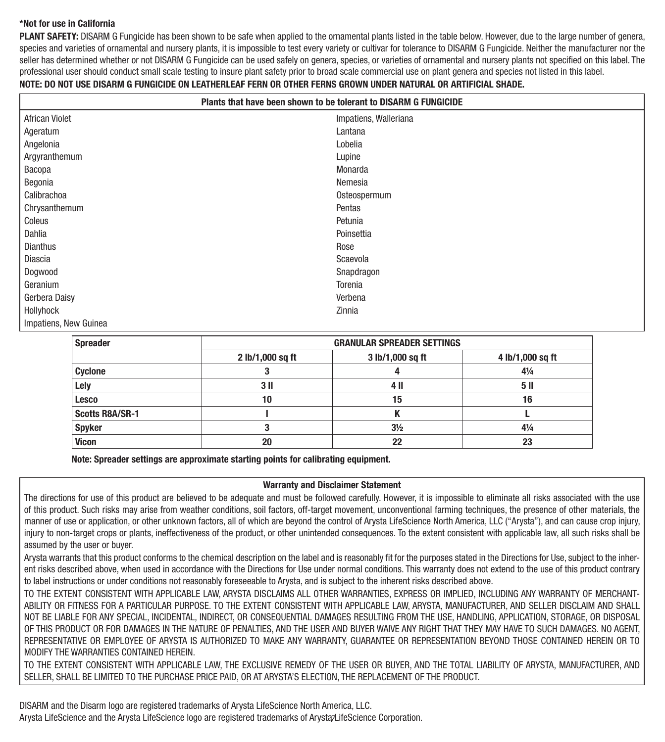#### **\*Not for use in California**

**PLANT SAFETY:** DISARM G Fungicide has been shown to be safe when applied to the ornamental plants listed in the table below. However, due to the large number of genera, species and varieties of ornamental and nursery plants, it is impossible to test every variety or cultivar for tolerance to DISARM G Fungicide. Neither the manufacturer nor the seller has determined whether or not DISARM G Fungicide can be used safely on genera, species, or varieties of ornamental and nursery plants not specified on this label. The professional user should conduct small scale testing to insure plant safety prior to broad scale commercial use on plant genera and species not listed in this label.

#### **NOTE: DO NOT USE DISARM G FUNGICIDE ON LEATHERLEAF FERN OR OTHER FERNS GROWN UNDER NATURAL OR ARTIFICIAL SHADE.**

| Plants that have been shown to be tolerant to DISARM G FUNGICIDE |                       |  |
|------------------------------------------------------------------|-----------------------|--|
| African Violet                                                   | Impatiens, Walleriana |  |
| Ageratum                                                         | Lantana               |  |
| Angelonia                                                        | Lobelia               |  |
| Argyranthemum                                                    | Lupine                |  |
| Bacopa                                                           | Monarda               |  |
| Begonia                                                          | Nemesia               |  |
| Calibrachoa                                                      | Osteospermum          |  |
| Chrysanthemum                                                    | Pentas                |  |
| Coleus                                                           | Petunia               |  |
| Dahlia                                                           | Poinsettia            |  |
| Dianthus                                                         | Rose                  |  |
| Diascia                                                          | Scaevola              |  |
| Dogwood                                                          | Snapdragon            |  |
| Geranium                                                         | Torenia               |  |
| Gerbera Daisy                                                    | Verbena               |  |
| Hollyhock                                                        | Zinnia                |  |
| Impatiens, New Guinea                                            |                       |  |

| <b>Spreader</b>        | <b>GRANULAR SPREADER SETTINGS</b> |                  |                  |
|------------------------|-----------------------------------|------------------|------------------|
|                        | 2 lb/1,000 sq ft                  | 3 lb/1,000 sq ft | 4 lb/1,000 sq ft |
| <b>Cyclone</b>         |                                   |                  | $4\frac{1}{4}$   |
| Lely                   | 3 <sub>II</sub>                   | 4 II             | 5 <sub>II</sub>  |
| <b>Lesco</b>           | 10                                | 15               | 16               |
| <b>Scotts R8A/SR-1</b> |                                   |                  |                  |
| <b>Spyker</b>          |                                   | $3\frac{1}{2}$   | $4\frac{1}{4}$   |
| <b>Vicon</b>           | 20                                | 22               | 23               |

**Note: Spreader settings are approximate starting points for calibrating equipment.**

#### **Warranty and Disclaimer Statement**

The directions for use of this product are believed to be adequate and must be followed carefully. However, it is impossible to eliminate all risks associated with the use of this product. Such risks may arise from weather conditions, soil factors, off-target movement, unconventional farming techniques, the presence of other materials, the manner of use or application, or other unknown factors, all of which are beyond the control of Arysta LifeScience North America, LLC ("Arysta"), and can cause crop injury, injury to non-target crops or plants, ineffectiveness of the product, or other unintended consequences. To the extent consistent with applicable law, all such risks shall be assumed by the user or buyer.

Arysta warrants that this product conforms to the chemical description on the label and is reasonably fit for the purposes stated in the Directions for Use, subject to the inherent risks described above, when used in accordance with the Directions for Use under normal conditions. This warranty does not extend to the use of this product contrary to label instructions or under conditions not reasonably foreseeable to Arysta, and is subject to the inherent risks described above.

TO THE EXTENT CONSISTENT WITH APPLICABLE LAW, ARYSTA DISCLAIMS ALL OTHER WARRANTIES, EXPRESS OR IMPLIED, INCLUDING ANY WARRANTY OF MERCHANT-ABILITY OR FITNESS FOR A PARTICULAR PURPOSE. TO THE EXTENT CONSISTENT WITH APPLICABLE LAW, ARYSTA, MANUFACTURER, AND SELLER DISCLAIM AND SHALL NOT BE LIABLE FOR ANY SPECIAL, INCIDENTAL, INDIRECT, OR CONSEQUENTIAL DAMAGES RESULTING FROM THE USE, HANDLING, APPLICATION, STORAGE, OR DISPOSAL OF THIS PRODUCT OR FOR DAMAGES IN THE NATURE OF PENALTIES, AND THE USER AND BUYER WAIVE ANY RIGHT THAT THEY MAY HAVE TO SUCH DAMAGES. NO AGENT, REPRESENTATIVE OR EMPLOYEE OF ARYSTA IS AUTHORIZED TO MAKE ANY WARRANTY, GUARANTEE OR REPRESENTATION BEYOND THOSE CONTAINED HEREIN OR TO MODIFY THE WARRANTIES CONTAINED HEREIN.

TO THE EXTENT CONSISTENT WITH APPLICABLE LAW, THE EXCLUSIVE REMEDY OF THE USER OR BUYER, AND THE TOTAL LIABILITY OF ARYSTA, MANUFACTURER, AND SELLER, SHALL BE LIMITED TO THE PURCHASE PRICE PAID, OR AT ARYSTA'S ELECTION, THE REPLACEMENT OF THE PRODUCT.